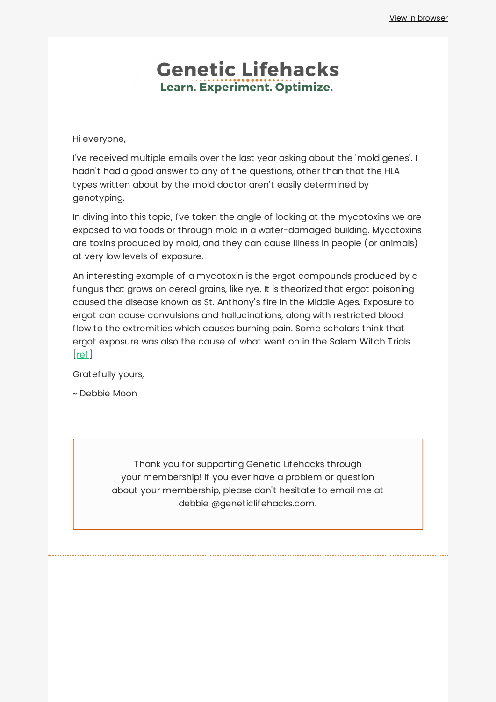## **Genetic Lifehacks** Learn. Experiment. Optimize.

Hi everyone,

I've received multiple emails over the last year asking about the 'mold genes'. I hadn't had a good answer to any of the questions, other than that the HLA types written about by the mold doctor aren't easily determined by genotyping.

In diving into this topic, I've taken the angle of looking at the mycotoxins we are exposed to via foods or through mold in a water-damaged building. Mycotoxins are toxins produced by mold, and they can cause illness in people (or animals) at very low levels of exposure.

An interesting example of a mycotoxin is the ergot compounds produced by a fungus that grows on cereal grains, like rye. It is theorized that ergot poisoning caused the disease known as St. Anthony's fire in the Middle Ages. Exposure to ergot can cause convulsions and hallucinations, along with restricted blood flow to the extremities which causes burning pain. Some scholars think that ergot exposure was also the cause of what went on in the Salem Witch Trials. [[ref\]](https://www.ncbi.nlm.nih.gov/pmc/articles/PMC7975928/)

Gratefully yours,

~ Debbie Moon

Thank you for supporting Genetic Lifehacks through your membership! If you ever have a problem or question about your membership, please don't hesitate to email me at debbie @geneticlifehacks.com.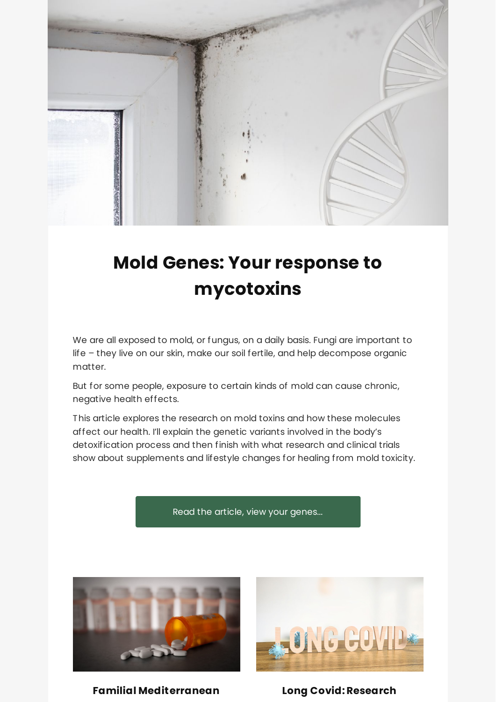

# **Mold Genes: Your response to [mycotoxins](https://www.geneticlifehacks.com/mold-genes-your-response-to-mycotoxins/)**

We are all exposed to mold, or fungus, on a daily basis. Fungi are important to life – they live on our skin, make our soil fertile, and help decompose organic matter.

But for some people, exposure to certain kinds of mold can cause chronic, negative health effects.

This article explores the research on mold toxins and how these molecules affect our health. I'll explain the genetic variants involved in the body's detoxification process and then finish with what research and clinical trials show about supplements and lifestyle changes for healing from mold toxicity.

Read the article, view your [genes...](https://www.geneticlifehacks.com/mold-genes-your-response-to-mycotoxins/)



**Familial [Mediterranean](https://www.geneticlifehacks.com/familial-mediterranean-fever-do-you-carry-the-genetic-variants/) Long [Covid:Research](https://www.geneticlifehacks.com/long-covid-research-and-potential-causes/)**